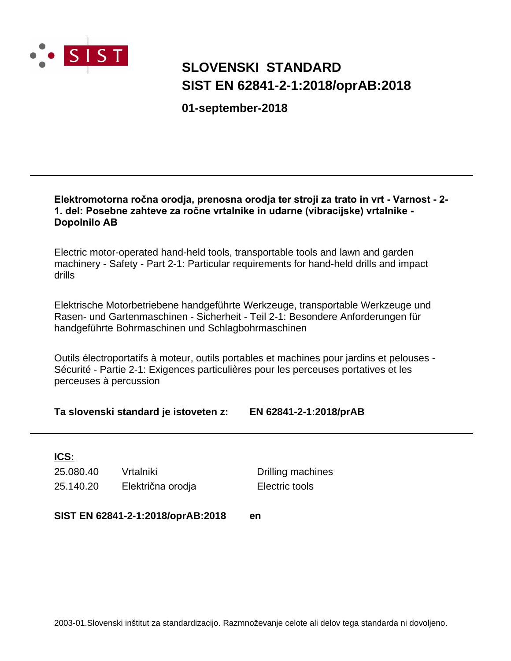

# **SIST EN 62841-2-1:2018/oprAB:2018 SLOVENSKI STANDARD**

**01-september-2018**

### Elektromotorna ročna orodja, prenosna orodja ter stroji za trato in vrt - Varnost - 2-1. del: Posebne zahteve za ročne vrtalnike in udarne (vibracijske) vrtalnike -**Dopolnilo AB**

Electric motor-operated hand-held tools, transportable tools and lawn and garden machinery - Safety - Part 2-1: Particular requirements for hand-held drills and impact drills

Elektrische Motorbetriebene handgeführte Werkzeuge, transportable Werkzeuge und Rasen- und Gartenmaschinen - Sicherheit - Teil 2-1: Besondere Anforderungen für handgeführte Bohrmaschinen und Schlagbohrmaschinen

Outils électroportatifs à moteur, outils portables et machines pour jardins et pelouses - Sécurité - Partie 2-1: Exigences particulières pour les perceuses portatives et les perceuses à percussion

**Ta slovenski standard je istoveten z: EN 62841-2-1:2018/prAB**

25.140.20 Električna orodja Electric tools 25.080.40 Vrtalniki Drilling machines **ICS:**

**SIST EN 62841-2-1:2018/oprAB:2018 en**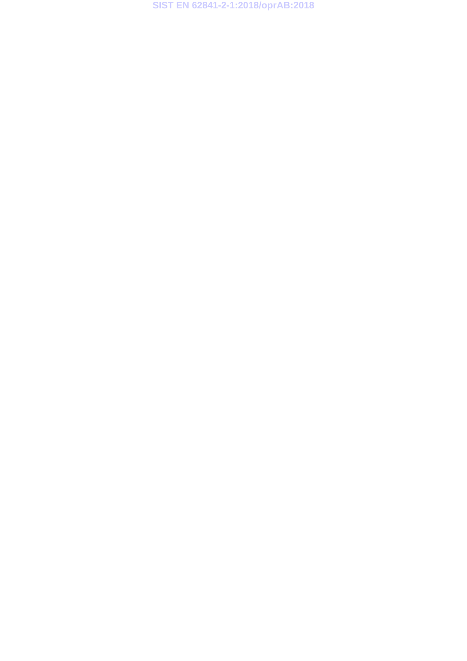**SIST EN 62841-2-1:2018/oprAB:2018**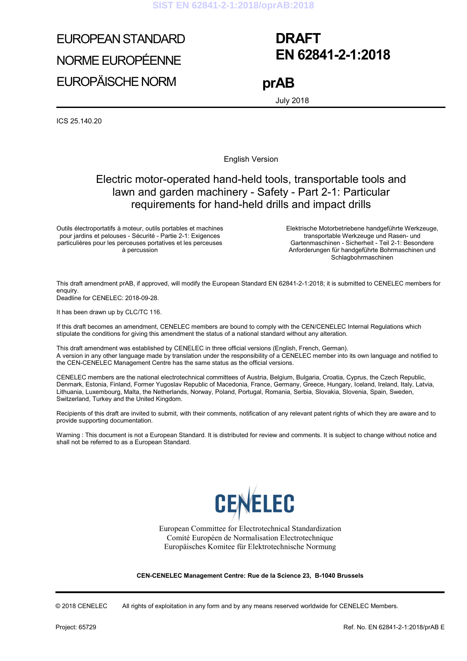# EUROPEAN STANDARD NORME EUROPÉENNE EUROPÄISCHE NORM

## **DRAFT EN 62841-2-1:2018**

### **prAB**

July 2018

ICS 25.140.20

English Version

### Electric motor-operated hand-held tools, transportable tools and lawn and garden machinery - Safety - Part 2-1: Particular requirements for hand-held drills and impact drills

Outils électroportatifs à moteur, outils portables et machines pour jardins et pelouses - Sécurité - Partie 2-1: Exigences particulières pour les perceuses portatives et les perceuses à percussion

 Elektrische Motorbetriebene handgeführte Werkzeuge, transportable Werkzeuge und Rasen- und Gartenmaschinen - Sicherheit - Teil 2-1: Besondere Anforderungen für handgeführte Bohrmaschinen und Schlagbohrmaschinen

This draft amendment prAB, if approved, will modify the European Standard EN 62841-2-1:2018; it is submitted to CENELEC members for enquiry.

Deadline for CENELEC: 2018-09-28.

It has been drawn up by CLC/TC 116.

If this draft becomes an amendment, CENELEC members are bound to comply with the CEN/CENELEC Internal Regulations which stipulate the conditions for giving this amendment the status of a national standard without any alteration.

This draft amendment was established by CENELEC in three official versions (English, French, German). A version in any other language made by translation under the responsibility of a CENELEC member into its own language and notified to the CEN-CENELEC Management Centre has the same status as the official versions.

CENELEC members are the national electrotechnical committees of Austria, Belgium, Bulgaria, Croatia, Cyprus, the Czech Republic, Denmark, Estonia, Finland, Former Yugoslav Republic of Macedonia, France, Germany, Greece, Hungary, Iceland, Ireland, Italy, Latvia, Lithuania, Luxembourg, Malta, the Netherlands, Norway, Poland, Portugal, Romania, Serbia, Slovakia, Slovenia, Spain, Sweden, Switzerland, Turkey and the United Kingdom.

Recipients of this draft are invited to submit, with their comments, notification of any relevant patent rights of which they are aware and to provide supporting documentation.

Warning : This document is not a European Standard. It is distributed for review and comments. It is subject to change without notice and shall not be referred to as a European Standard.



European Committee for Electrotechnical Standardization Comité Européen de Normalisation Electrotechnique Europäisches Komitee für Elektrotechnische Normung

**CEN-CENELEC Management Centre: Rue de la Science 23, B-1040 Brussels** 

© 2018 CENELEC All rights of exploitation in any form and by any means reserved worldwide for CENELEC Members.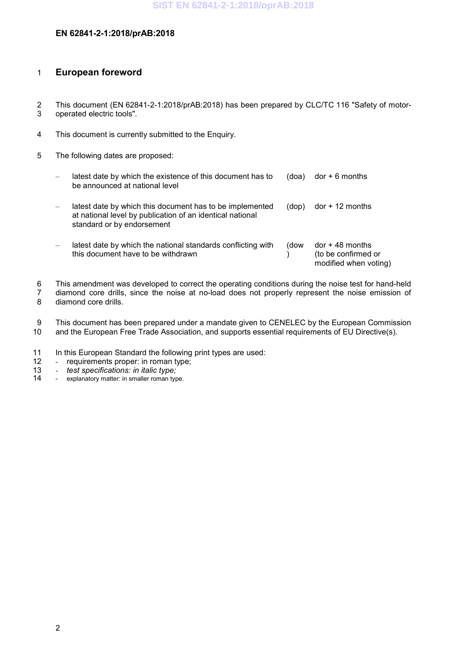#### **EN 62841-2-1:2018/prAB:2018**

#### 1 **European foreword**

- 2 This document (EN 62841-2-1:2018/prAB:2018) has been prepared by CLC/TC 116 "Safety of motor-<br>3 operated electric tools". operated electric tools".
- 4 This document is currently submitted to the Enquiry.
- 5 The following dates are proposed:

| latest date by which the existence of this document has to<br>be announced at national level                                                        | (doa) | $dor + 6$ months                                                  |
|-----------------------------------------------------------------------------------------------------------------------------------------------------|-------|-------------------------------------------------------------------|
| latest date by which this document has to be implemented<br>at national level by publication of an identical national<br>standard or by endorsement | (dop) | $dor + 12$ months                                                 |
| latest date by which the national standards conflicting with<br>this document have to be withdrawn                                                  | (dow  | $dor + 48$ months<br>(to be confirmed or<br>modified when voting) |

6 This amendment was developed to correct the operating conditions during the noise test for hand-held<br>7 diamond core drills, since the noise at no-load does not properly represent the noise emission of 7 diamond core drills, since the noise at no-load does not properly represent the noise emission of diamond core drills. diamond core drills.

9 This document has been prepared under a mandate given to CENELEC by the European Commission<br>10 and the European Free Trade Association, and supports essential requirements of EU Directive(s). and the European Free Trade Association, and supports essential requirements of EU Directive(s).

- 11 In this European Standard the following print types are used:<br>12 requirements proper: in roman type;
- 12 requirements proper: in roman type;<br>13 *test specifications: in italic type;*<br>14 explanatory matter: in smaller roman type.
- 13 *- test specifications: in italic type;*
- explanatory matter: in smaller roman type.